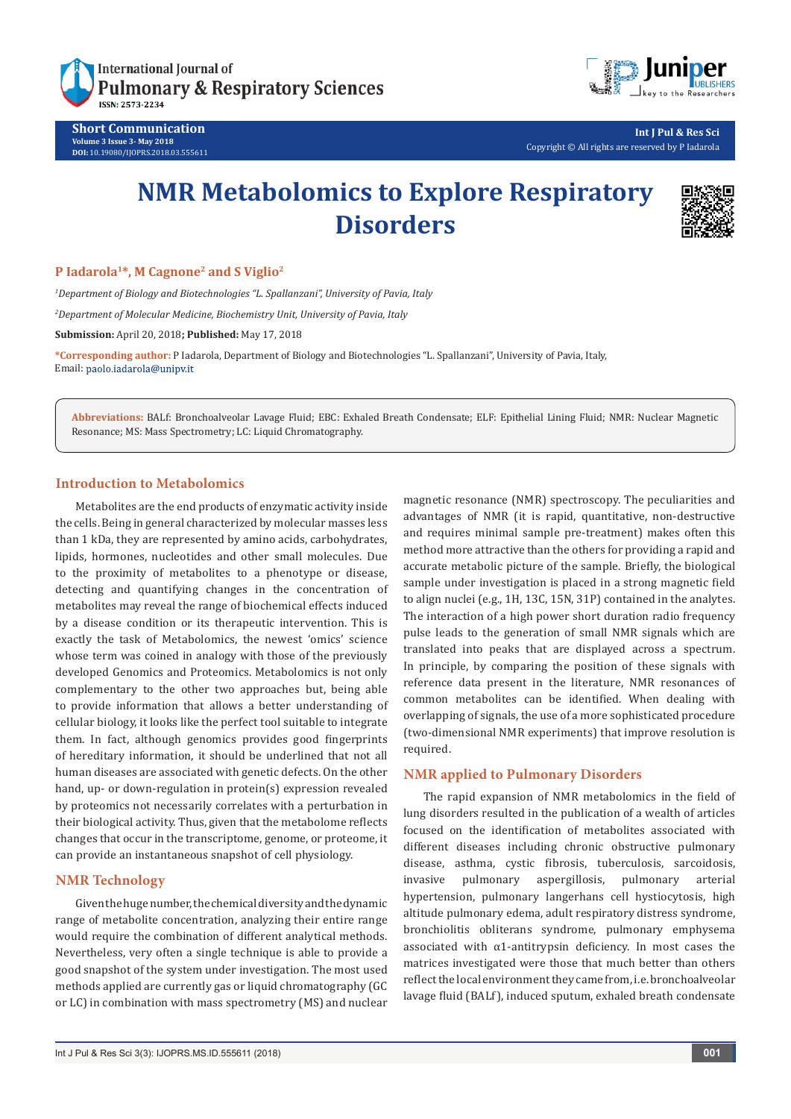

**Short Communication Volume 3 Issue 3- May 2018 DOI:** [10.19080/IJOPRS.2018.03.555611](http://dx.doi.org/10.19080/IJOPRS.2018.03.555611)



**Int J Pul & Res Sci** Copyright © All rights are reserved by P Iadarola

# **NMR Metabolomics to Explore Respiratory Disorders**



#### **P Iadarola1\*, M Cagnone2 and S Viglio2**

*1 Department of Biology and Biotechnologies "L. Spallanzani", University of Pavia, Italy 2 Department of Molecular Medicine, Biochemistry Unit, University of Pavia, Italy* **Submission:** April 20, 2018**; Published:** May 17, 2018

**\*Corresponding author:** P Iadarola, Department of Biology and Biotechnologies "L. Spallanzani", University of Pavia, Italy, Email: paolo.iadarola@unipv.it

**Abbreviations:** BALf: Bronchoalveolar Lavage Fluid; EBC: Exhaled Breath Condensate; ELF: Epithelial Lining Fluid; NMR: Nuclear Magnetic Resonance; MS: Mass Spectrometry; LC: Liquid Chromatography.

## **Introduction to Metabolomics**

Metabolites are the end products of enzymatic activity inside the cells. Being in general characterized by molecular masses less than 1 kDa, they are represented by amino acids, carbohydrates, lipids, hormones, nucleotides and other small molecules. Due to the proximity of metabolites to a phenotype or disease, detecting and quantifying changes in the concentration of metabolites may reveal the range of biochemical effects induced by a disease condition or its therapeutic intervention. This is exactly the task of Metabolomics, the newest 'omics' science whose term was coined in analogy with those of the previously developed Genomics and Proteomics. Metabolomics is not only complementary to the other two approaches but, being able to provide information that allows a better understanding of cellular biology, it looks like the perfect tool suitable to integrate them. In fact, although genomics provides good fingerprints of hereditary information, it should be underlined that not all human diseases are associated with genetic defects. On the other hand, up- or down-regulation in protein(s) expression revealed by proteomics not necessarily correlates with a perturbation in their biological activity. Thus, given that the metabolome reflects changes that occur in the transcriptome, genome, or proteome, it can provide an instantaneous snapshot of cell physiology.

# **NMR Technology**

Given the huge number, the chemical diversity and the dynamic range of metabolite concentration, analyzing their entire range would require the combination of different analytical methods. Nevertheless, very often a single technique is able to provide a good snapshot of the system under investigation. The most used methods applied are currently gas or liquid chromatography (GC or LC) in combination with mass spectrometry (MS) and nuclear magnetic resonance (NMR) spectroscopy. The peculiarities and advantages of NMR (it is rapid, quantitative, non-destructive and requires minimal sample pre-treatment) makes often this method more attractive than the others for providing a rapid and accurate metabolic picture of the sample. Briefly, the biological sample under investigation is placed in a strong magnetic field to align nuclei (e.g., 1H, 13C, 15N, 31P) contained in the analytes. The interaction of a high power short duration radio frequency pulse leads to the generation of small NMR signals which are translated into peaks that are displayed across a spectrum. In principle, by comparing the position of these signals with reference data present in the literature, NMR resonances of common metabolites can be identified. When dealing with overlapping of signals, the use of a more sophisticated procedure (two-dimensional NMR experiments) that improve resolution is required.

## **NMR applied to Pulmonary Disorders**

The rapid expansion of NMR metabolomics in the field of lung disorders resulted in the publication of a wealth of articles focused on the identification of metabolites associated with different diseases including chronic obstructive pulmonary disease, asthma, cystic fibrosis, tuberculosis, sarcoidosis, invasive pulmonary aspergillosis, pulmonary arterial hypertension, pulmonary langerhans cell hystiocytosis, high altitude pulmonary edema, adult respiratory distress syndrome, bronchiolitis obliterans syndrome, pulmonary emphysema associated with  $\alpha$ 1-antitrypsin deficiency. In most cases the matrices investigated were those that much better than others reflect the local environment they came from, i.e. bronchoalveolar lavage fluid (BALf), induced sputum, exhaled breath condensate